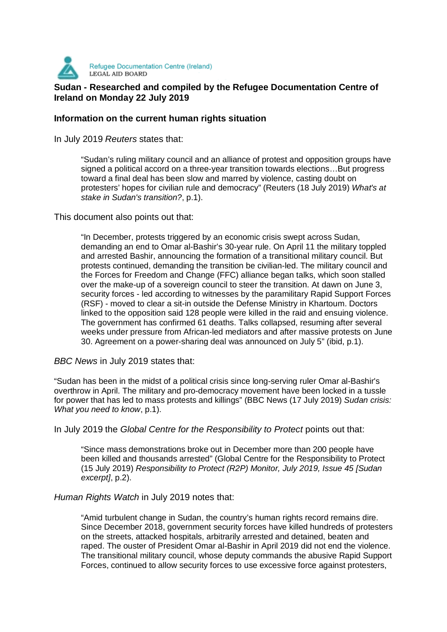

# **SUDAN DEGAL AID BOARD**<br>Sudan - Researched and compiled by the Refugee Documentation Centre of **Ireland on Monday 22 July 2019**

# **Information on the current human rights situation**

In July 2019 Reuters states that:

"Sudan's ruling military council and an alliance of protest and opposition groups have signed a political accord on a three-year transition towards elections…But progress toward a final deal has been slow and marred by violence, casting doubt on protesters' hopes for civilian rule and democracy" (Reuters (18 July 2019) What's at stake in Sudan's transition?, p.1).

This document also points out that:

"In December, protests triggered by an economic crisis swept across Sudan, demanding an end to Omar al-Bashir's 30-year rule. On April 11 the military toppled and arrested Bashir, announcing the formation of a transitional military council. But protests continued, demanding the transition be civilian-led. The military council and the Forces for Freedom and Change (FFC) alliance began talks, which soon stalled over the make-up of a sovereign council to steer the transition. At dawn on June 3, security forces - led according to witnesses by the paramilitary Rapid Support Forces (RSF) - moved to clear a sit-in outside the Defense Ministry in Khartoum. Doctors linked to the opposition said 128 people were killed in the raid and ensuing violence. The government has confirmed 61 deaths. Talks collapsed, resuming after several weeks under pressure from African-led mediators and after massive protests on June 30. Agreement on a power-sharing deal was announced on July 5" (ibid, p.1).

BBC News in July 2019 states that:

"Sudan has been in the midst of a political crisis since long-serving ruler Omar al-Bashir's overthrow in April. The military and pro-democracy movement have been locked in a tussle for power that has led to mass protests and killings" (BBC News (17 July 2019) Sudan crisis: What you need to know, p.1).

In July 2019 the Global Centre for the Responsibility to Protect points out that:

"Since mass demonstrations broke out in December more than 200 people have been killed and thousands arrested" (Global Centre for the Responsibility to Protect (15 July 2019) Responsibility to Protect (R2P) Monitor, July 2019, Issue 45 [Sudan excerpt], p.2).

## Human Rights Watch in July 2019 notes that:

"Amid turbulent change in Sudan, the country's human rights record remains dire. Since December 2018, government security forces have killed hundreds of protesters on the streets, attacked hospitals, arbitrarily arrested and detained, beaten and raped. The ouster of President Omar al-Bashir in April 2019 did not end the violence. The transitional military council, whose deputy commands the abusive Rapid Support Forces, continued to allow security forces to use excessive force against protesters,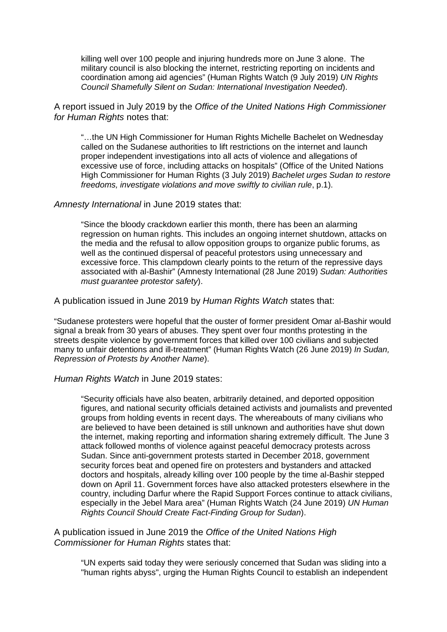killing well over 100 people and injuring hundreds more on June 3 alone. The military council is also blocking the internet, restricting reporting on incidents and coordination among aid agencies" (Human Rights Watch (9 July 2019) UN Rights Council Shamefully Silent on Sudan: International Investigation Needed).

A report issued in July 2019 by the Office of the United Nations High Commissioner for Human Rights notes that:

"…the UN High Commissioner for Human Rights Michelle Bachelet on Wednesday called on the Sudanese authorities to lift restrictions on the internet and launch proper independent investigations into all acts of violence and allegations of excessive use of force, including attacks on hospitals" (Office of the United Nations High Commissioner for Human Rights (3 July 2019) Bachelet urges Sudan to restore freedoms, investigate violations and move swiftly to civilian rule, p.1).

## Amnesty International in June 2019 states that:

"Since the bloody crackdown earlier this month, there has been an alarming regression on human rights. This includes an ongoing internet shutdown, attacks on the media and the refusal to allow opposition groups to organize public forums, as well as the continued dispersal of peaceful protestors using unnecessary and excessive force. This clampdown clearly points to the return of the repressive days associated with al-Bashir" (Amnesty International (28 June 2019) Sudan: Authorities must guarantee protestor safety).

A publication issued in June 2019 by Human Rights Watch states that:

"Sudanese protesters were hopeful that the ouster of former president Omar al-Bashir would signal a break from 30 years of abuses. They spent over four months protesting in the streets despite violence by government forces that killed over 100 civilians and subjected many to unfair detentions and ill-treatment" (Human Rights Watch (26 June 2019) In Sudan, Repression of Protests by Another Name).

## Human Rights Watch in June 2019 states:

"Security officials have also beaten, arbitrarily detained, and deported opposition figures, and national security officials detained activists and journalists and prevented groups from holding events in recent days. The whereabouts of many civilians who are believed to have been detained is still unknown and authorities have shut down the internet, making reporting and information sharing extremely difficult. The June 3 attack followed months of violence against peaceful democracy protests across Sudan. Since anti-government protests started in December 2018, government security forces beat and opened fire on protesters and bystanders and attacked doctors and hospitals, already killing over 100 people by the time al-Bashir stepped down on April 11. Government forces have also attacked protesters elsewhere in the country, including Darfur where the Rapid Support Forces continue to attack civilians, especially in the Jebel Mara area" (Human Rights Watch (24 June 2019) UN Human Rights Council Should Create Fact-Finding Group for Sudan).

A publication issued in June 2019 the Office of the United Nations High Commissioner for Human Rights states that:

"UN experts said today they were seriously concerned that Sudan was sliding into a "human rights abyss", urging the Human Rights Council to establish an independent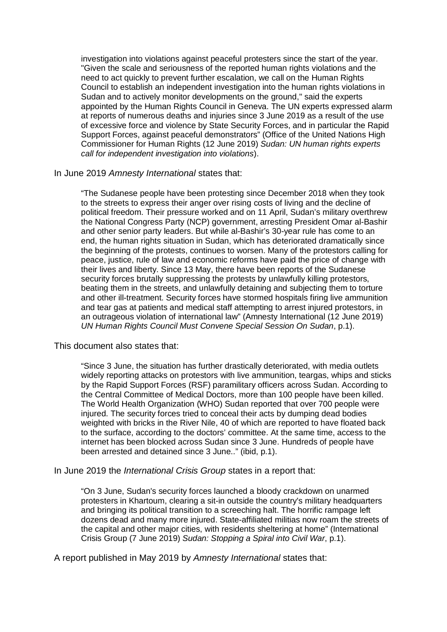investigation into violations against peaceful protesters since the start of the year. "Given the scale and seriousness of the reported human rights violations and the need to act quickly to prevent further escalation, we call on the Human Rights Council to establish an independent investigation into the human rights violations in Sudan and to actively monitor developments on the ground," said the experts appointed by the Human Rights Council in Geneva. The UN experts expressed alarm at reports of numerous deaths and injuries since 3 June 2019 as a result of the use of excessive force and violence by State Security Forces, and in particular the Rapid Support Forces, against peaceful demonstrators" (Office of the United Nations High Commissioner for Human Rights (12 June 2019) Sudan: UN human rights experts call for independent investigation into violations).

#### In June 2019 Amnesty International states that:

"The Sudanese people have been protesting since December 2018 when they took to the streets to express their anger over rising costs of living and the decline of political freedom. Their pressure worked and on 11 April, Sudan's military overthrew the National Congress Party (NCP) government, arresting President Omar al-Bashir and other senior party leaders. But while al-Bashir's 30-year rule has come to an end, the human rights situation in Sudan, which has deteriorated dramatically since the beginning of the protests, continues to worsen. Many of the protestors calling for peace, justice, rule of law and economic reforms have paid the price of change with their lives and liberty. Since 13 May, there have been reports of the Sudanese security forces brutally suppressing the protests by unlawfully killing protestors, beating them in the streets, and unlawfully detaining and subjecting them to torture and other ill-treatment. Security forces have stormed hospitals firing live ammunition and tear gas at patients and medical staff attempting to arrest injured protestors, in an outrageous violation of international law" (Amnesty International (12 June 2019) UN Human Rights Council Must Convene Special Session On Sudan, p.1).

#### This document also states that:

"Since 3 June, the situation has further drastically deteriorated, with media outlets widely reporting attacks on protestors with live ammunition, teargas, whips and sticks by the Rapid Support Forces (RSF) paramilitary officers across Sudan. According to the Central Committee of Medical Doctors, more than 100 people have been killed. The World Health Organization (WHO) Sudan reported that over 700 people were injured. The security forces tried to conceal their acts by dumping dead bodies weighted with bricks in the River Nile, 40 of which are reported to have floated back to the surface, according to the doctors' committee. At the same time, access to the internet has been blocked across Sudan since 3 June. Hundreds of people have been arrested and detained since 3 June.." (ibid, p.1).

#### In June 2019 the *International Crisis Group* states in a report that:

"On 3 June, Sudan's security forces launched a bloody crackdown on unarmed protesters in Khartoum, clearing a sit-in outside the country's military headquarters and bringing its political transition to a screeching halt. The horrific rampage left dozens dead and many more injured. State-affiliated militias now roam the streets of the capital and other major cities, with residents sheltering at home" (International Crisis Group (7 June 2019) Sudan: Stopping a Spiral into Civil War, p.1).

A report published in May 2019 by Amnesty International states that: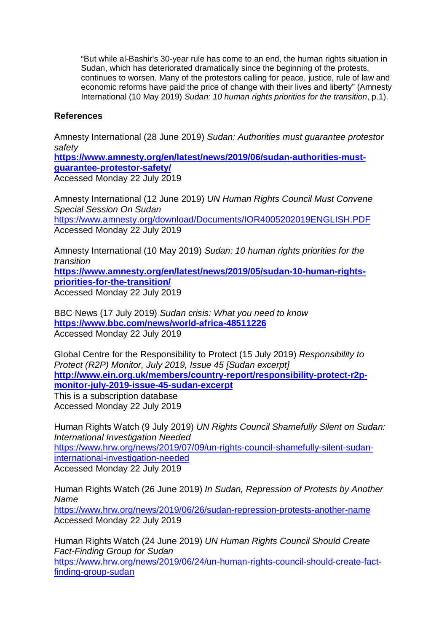"But while al-Bashir's 30-year rule has come to an end, the human rights situation in Sudan, which has deteriorated dramatically since the beginning of the protests, continues to worsen. Many of the protestors calling for peace, justice, rule of law and economic reforms have paid the price of change with their lives and liberty" (Amnesty International (10 May 2019) Sudan: 10 human rights priorities for the transition, p.1).

# **References**

Amnesty International (28 June 2019) Sudan: Authorities must guarantee protestor safety

**https://www.amnesty.org/en/latest/news/2019/06/sudan-authorities-mustguarantee-protestor-safety/** Accessed Monday 22 July 2019

Amnesty International (12 June 2019) UN Human Rights Council Must Convene Special Session On Sudan https://www.amnesty.org/download/Documents/IOR4005202019ENGLISH.PDF Accessed Monday 22 July 2019

Amnesty International (10 May 2019) Sudan: 10 human rights priorities for the transition **https://www.amnesty.org/en/latest/news/2019/05/sudan-10-human-rightspriorities-for-the-transition/** Accessed Monday 22 July 2019

BBC News (17 July 2019) Sudan crisis: What you need to know **https://www.bbc.com/news/world-africa-48511226** Accessed Monday 22 July 2019

Global Centre for the Responsibility to Protect (15 July 2019) Responsibility to Protect (R2P) Monitor, July 2019, Issue 45 [Sudan excerpt] **http://www.ein.org.uk/members/country-report/responsibility-protect-r2pmonitor-july-2019-issue-45-sudan-excerpt**

This is a subscription database Accessed Monday 22 July 2019

Human Rights Watch (9 July 2019) UN Rights Council Shamefully Silent on Sudan: International Investigation Needed https://www.hrw.org/news/2019/07/09/un-rights-council-shamefully-silent-sudaninternational-investigation-needed Accessed Monday 22 July 2019

Human Rights Watch (26 June 2019) In Sudan, Repression of Protests by Another Name https://www.hrw.org/news/2019/06/26/sudan-repression-protests-another-name Accessed Monday 22 July 2019

Human Rights Watch (24 June 2019) UN Human Rights Council Should Create Fact-Finding Group for Sudan https://www.hrw.org/news/2019/06/24/un-human-rights-council-should-create-factfinding-group-sudan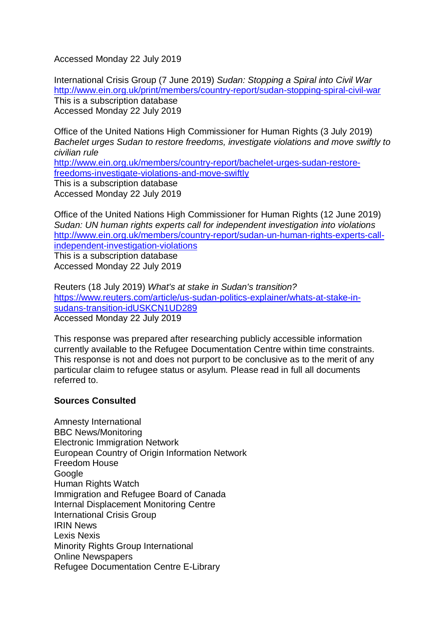Accessed Monday 22 July 2019

International Crisis Group (7 June 2019) Sudan: Stopping a Spiral into Civil War http://www.ein.org.uk/print/members/country-report/sudan-stopping-spiral-civil-war This is a subscription database Accessed Monday 22 July 2019

Office of the United Nations High Commissioner for Human Rights (3 July 2019) Bachelet urges Sudan to restore freedoms, investigate violations and move swiftly to civilian rule http://www.ein.org.uk/members/country-report/bachelet-urges-sudan-restorefreedoms-investigate-violations-and-move-swiftly This is a subscription database Accessed Monday 22 July 2019

Office of the United Nations High Commissioner for Human Rights (12 June 2019) Sudan: UN human rights experts call for independent investigation into violations http://www.ein.org.uk/members/country-report/sudan-un-human-rights-experts-callindependent-investigation-violations This is a subscription database

Accessed Monday 22 July 2019

Reuters (18 July 2019) What's at stake in Sudan's transition? https://www.reuters.com/article/us-sudan-politics-explainer/whats-at-stake-insudans-transition-idUSKCN1UD289 Accessed Monday 22 July 2019

This response was prepared after researching publicly accessible information currently available to the Refugee Documentation Centre within time constraints. This response is not and does not purport to be conclusive as to the merit of any particular claim to refugee status or asylum. Please read in full all documents referred to.

# **Sources Consulted**

Amnesty International BBC News/Monitoring Electronic Immigration Network European Country of Origin Information Network Freedom House **Google** Human Rights Watch Immigration and Refugee Board of Canada Internal Displacement Monitoring Centre International Crisis Group IRIN News Lexis Nexis Minority Rights Group International Online Newspapers Refugee Documentation Centre E-Library